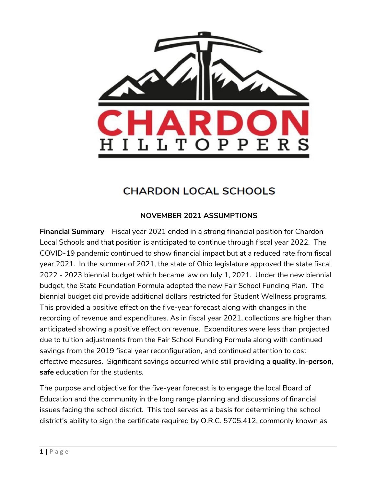

# **CHARDON LOCAL SCHOOLS**

# **NOVEMBER 2021 ASSUMPTIONS**

**Financial Summary –** Fiscal year 2021 ended in a strong financial position for Chardon Local Schools and that position is anticipated to continue through fiscal year 2022. The COVID-19 pandemic continued to show financial impact but at a reduced rate from fiscal year 2021. In the summer of 2021, the state of Ohio legislature approved the state fiscal 2022 - 2023 biennial budget which became law on July 1, 2021. Under the new biennial budget, the State Foundation Formula adopted the new Fair School Funding Plan. The biennial budget did provide additional dollars restricted for Student Wellness programs. This provided a positive effect on the five-year forecast along with changes in the recording of revenue and expenditures. As in fiscal year 2021, collections are higher than anticipated showing a positive effect on revenue. Expenditures were less than projected due to tuition adjustments from the Fair School Funding Formula along with continued savings from the 2019 fiscal year reconfiguration, and continued attention to cost effective measures. Significant savings occurred while still providing a **quality**, **in-person**, **safe** education for the students.

The purpose and objective for the five-year forecast is to engage the local Board of Education and the community in the long range planning and discussions of financial issues facing the school district. This tool serves as a basis for determining the school district's ability to sign the certificate required by O.R.C. 5705.412, commonly known as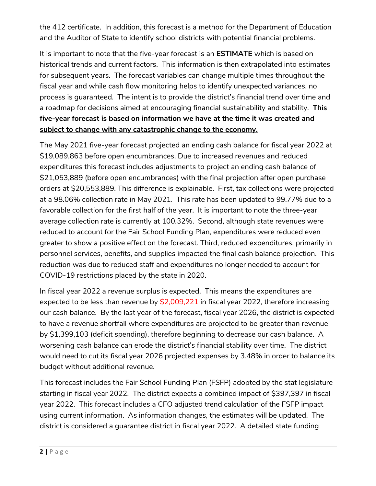the 412 certificate. In addition, this forecast is a method for the Department of Education and the Auditor of State to identify school districts with potential financial problems.

It is important to note that the five-year forecast is an **ESTIMATE** which is based on historical trends and current factors. This information is then extrapolated into estimates for subsequent years. The forecast variables can change multiple times throughout the fiscal year and while cash flow monitoring helps to identify unexpected variances, no process is guaranteed. The intent is to provide the district's financial trend over time and a roadmap for decisions aimed at encouraging financial sustainability and stability. **This five-year forecast is based on information we have at the time it was created and subject to change with any catastrophic change to the economy.**

The May 2021 five-year forecast projected an ending cash balance for fiscal year 2022 at \$19,089,863 before open encumbrances. Due to increased revenues and reduced expenditures this forecast includes adjustments to project an ending cash balance of \$21,053,889 (before open encumbrances) with the final projection after open purchase orders at \$20,553,889. This difference is explainable. First, tax collections were projected at a 98.06% collection rate in May 2021. This rate has been updated to 99.77% due to a favorable collection for the first half of the year. It is important to note the three-year average collection rate is currently at 100.32%. Second, although state revenues were reduced to account for the Fair School Funding Plan, expenditures were reduced even greater to show a positive effect on the forecast. Third, reduced expenditures, primarily in personnel services, benefits, and supplies impacted the final cash balance projection. This reduction was due to reduced staff and expenditures no longer needed to account for COVID-19 restrictions placed by the state in 2020.

In fiscal year 2022 a revenue surplus is expected. This means the expenditures are expected to be less than revenue by  $\frac{20,009,221}{2}$  in fiscal year 2022, therefore increasing our cash balance. By the last year of the forecast, fiscal year 2026, the district is expected to have a revenue shortfall where expenditures are projected to be greater than revenue by \$1,399,103 (deficit spending), therefore beginning to decrease our cash balance. A worsening cash balance can erode the district's financial stability over time. The district would need to cut its fiscal year 2026 projected expenses by 3.48% in order to balance its budget without additional revenue.

This forecast includes the Fair School Funding Plan (FSFP) adopted by the stat legislature starting in fiscal year 2022. The district expects a combined impact of \$397,397 in fiscal year 2022. This forecast includes a CFO adjusted trend calculation of the FSFP impact using current information. As information changes, the estimates will be updated. The district is considered a guarantee district in fiscal year 2022. A detailed state funding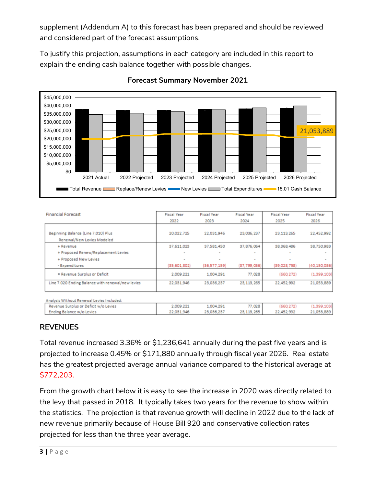supplement (Addendum A) to this forecast has been prepared and should be reviewed and considered part of the forecast assumptions.

To justify this projection, assumptions in each category are included in this report to explain the ending cash balance together with possible changes.



### **Forecast Summary November 2021**

| <b>Financial Forecast</b>                         | <b>Fiscal Year</b> | Fiscal Year  | Fiscal Year    | Fiscal Year  | Fiscal Year    |
|---------------------------------------------------|--------------------|--------------|----------------|--------------|----------------|
|                                                   | 2022               | 2023         | 2024           | 2025         | 2026           |
|                                                   |                    |              |                |              |                |
| Beginning Balance (Line 7.010) Plus               | 20,022,725         | 22.031.946   | 23.036.237     | 23,113,265   | 22,452,992     |
| Renewal/New Levies Modeled                        |                    |              |                |              |                |
| + Revenue                                         | 37,611,023         | 37,581,450   | 37, 876, 064   | 38, 368, 486 | 38,750,983     |
| + Proposed Renew/Replacement Levies               | $\sim$             |              | $\sim$         |              |                |
| + Proposed New Levies                             | $\sim$             |              | $\sim$         | $\sim$       |                |
| - Expenditures                                    | (35,601,802)       | (36,577,159) | (37, 799, 036) | (39,028,758) | (40, 150, 086) |
| = Revenue Surplus or Deficit                      | 2,009,221          | 1,004,291    | 77,028         | (660.272)    | (1,399,103)    |
| Line 7.020 Ending Balance with renewal/new levies | 22,031,946         | 23.036.237   | 23.113.265     | 22.452.992   | 21.053.889     |
| Analysis Without Renewal Levies Included:         |                    |              |                |              |                |
| Revenue Surplus or Deficit w/o Levies             | 2.009.221          | 1,004.291    | 77.028         | (660.272)    | (1,399,103)    |
| Ending Balance w/o Levies                         | 22,031,946         | 23,036,237   | 23, 113, 265   | 22,452.992   | 21,053,889     |

# **REVENUES**

Total revenue increased 3.36% or \$1,236,641 annually during the past five years and is projected to increase 0.45% or \$171,880 annually through fiscal year 2026. Real estate has the greatest projected average annual variance compared to the historical average at \$772,203.

From the growth chart below it is easy to see the increase in 2020 was directly related to the levy that passed in 2018. It typically takes two years for the revenue to show within the statistics. The projection is that revenue growth will decline in 2022 due to the lack of new revenue primarily because of House Bill 920 and conservative collection rates projected for less than the three year average.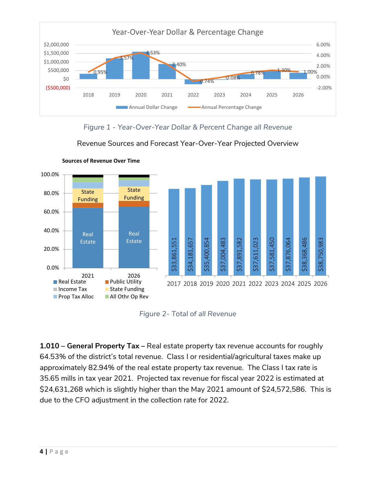

*Figure 1 - Year-Over-Year Dollar & Percent Change all Revenue*

Revenue Sources and Forecast Year-Over-Year Projected Overview



**Sources of Revenue Over Time**

*Figure 2- Total of all Revenue*

**1.010 – General Property Tax –** Real estate property tax revenue accounts for roughly 64.53% of the district's total revenue. Class I or residential/agricultural taxes make up approximately 82.94% of the real estate property tax revenue. The Class I tax rate is 35.65 mills in tax year 2021. Projected tax revenue for fiscal year 2022 is estimated at \$24,631,268 which is slightly higher than the May 2021 amount of \$24,572,586. This is due to the CFO adjustment in the collection rate for 2022.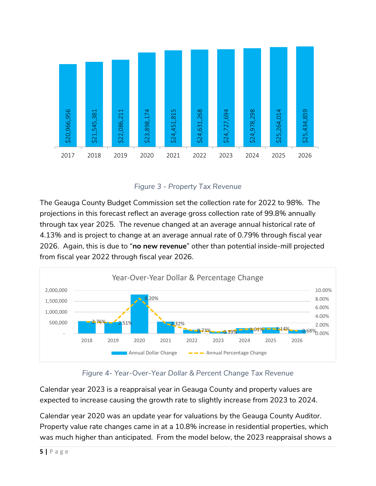

*Figure 3 - Property Tax Revenue*

The Geauga County Budget Commission set the collection rate for 2022 to 98%. The projections in this forecast reflect an average gross collection rate of 99.8% annually through tax year 2025. The revenue changed at an average annual historical rate of 4.13% and is project to change at an average annual rate of 0.79% through fiscal year 2026. Again, this is due to "**no new revenue**" other than potential inside-mill projected from fiscal year 2022 through fiscal year 2026.



# *Figure 4- Year-Over-Year Dollar & Percent Change Tax Revenue*

Calendar year 2023 is a reappraisal year in Geauga County and property values are expected to increase causing the growth rate to slightly increase from 2023 to 2024.

Calendar year 2020 was an update year for valuations by the Geauga County Auditor. Property value rate changes came in at a 10.8% increase in residential properties, which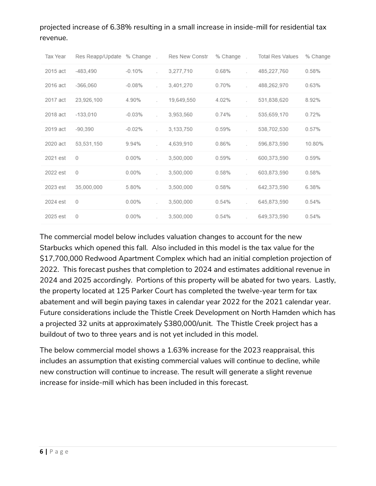# projected increase of 6.38% resulting in a small increase in inside-mill for residential tax revenue.

| Tax Year | Res Reapp/Update % Change. |          | Res New Constr | % Change. | <b>Total Res Values</b> | % Change |
|----------|----------------------------|----------|----------------|-----------|-------------------------|----------|
| 2015 act | $-483,490$                 | $-0.10%$ | 3,277,710      | 0.68%     | 485,227,760             | 0.58%    |
| 2016 act | $-366,060$                 | $-0.08%$ | 3,401,270      | 0.70%     | 488,262,970             | 0.63%    |
| 2017 act | 23,926,100                 | 4.90%    | 19,649,550     | 4.02%     | 531,838,620             | 8.92%    |
| 2018 act | $-133,010$                 | $-0.03%$ | 3,953,560      | 0.74%     | 535,659,170             | 0.72%    |
| 2019 act | $-90.390$                  | $-0.02%$ | 3.133.750      | 0.59%     | 538,702,530             | 0.57%    |
| 2020 act | 53,531,150                 | 9.94%    | 4,639,910      | 0.86%     | 596,873,590             | 10.80%   |
| 2021 est | 0                          | $0.00\%$ | 3.500.000      | 0.59%     | 600.373.590             | 0.59%    |
| 2022 est | 0                          | 0.00%    | 3,500,000      | 0.58%     | 603.873.590             | 0.58%    |
| 2023 est | 35,000,000                 | 5.80%    | 3,500,000      | 0.58%     | 642,373,590             | 6.38%    |
| 2024 est | $\circ$                    | $0.00\%$ | 3,500,000      | 0.54%     | 645,873,590             | 0.54%    |
| 2025 est | 0                          | $0.00\%$ | 3,500,000      | 0.54%     | 649,373,590             | 0.54%    |

The commercial model below includes valuation changes to account for the new Starbucks which opened this fall. Also included in this model is the tax value for the \$17,700,000 Redwood Apartment Complex which had an initial completion projection of 2022. This forecast pushes that completion to 2024 and estimates additional revenue in 2024 and 2025 accordingly. Portions of this property will be abated for two years. Lastly, the property located at 125 Parker Court has completed the twelve-year term for tax abatement and will begin paying taxes in calendar year 2022 for the 2021 calendar year. Future considerations include the Thistle Creek Development on North Hamden which has a projected 32 units at approximately \$380,000/unit. The Thistle Creek project has a buildout of two to three years and is not yet included in this model.

The below commercial model shows a 1.63% increase for the 2023 reappraisal, this includes an assumption that existing commercial values will continue to decline, while new construction will continue to increase. The result will generate a slight revenue increase for inside-mill which has been included in this forecast.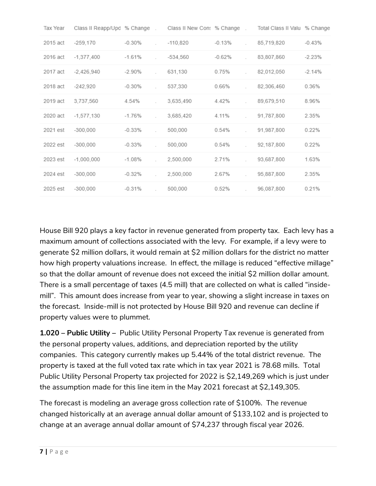| Tax Year | Class II Reapp/Upd % Change. |                 | Class II New Con: % Change. |          | Total Class II Valu % Change |          |
|----------|------------------------------|-----------------|-----------------------------|----------|------------------------------|----------|
| 2015 act | $-259.170$                   | $-0.30%$        | $-110,820$                  | $-0.13%$ | 85,719,820                   | $-0.43%$ |
| 2016 act | $-1,377,400$                 | $-1.61%$        | $-534.560$                  | $-0.62%$ | 83,807,860                   | $-2.23%$ |
| 2017 act | $-2,426,940$                 | $-2.90\%$<br>s. | 631,130                     | 0.75%    | 82,012,050                   | $-2.14%$ |
| 2018 act | -242.920                     | $-0.30%$        | 537,330                     | 0.66%    | 82,306,460                   | 0.36%    |
| 2019 act | 3,737,560                    | 4.54%           | 3,635,490                   | 4.42%    | 89,679,510                   | 8.96%    |
| 2020 act | $-1,577,130$                 | $-1.76%$<br>s.  | 3,685,420                   | 4.11%    | 91,787,800                   | 2.35%    |
| 2021 est | $-300.000$                   | $-0.33%$        | 500,000                     | 0.54%    | 91,987,800                   | 0.22%    |
| 2022 est | $-300.000$                   | $-0.33%$        | 500,000                     | 0.54%    | 92,187,800                   | 0.22%    |
| 2023 est | $-1,000,000$                 | -1.08%<br>÷.    | 2,500,000                   | 2.71%    | 93,687,800                   | 1.63%    |
| 2024 est | $-300,000$                   | $-0.32\%$       | 2,500,000                   | 2.67%    | 95.887.800                   | 2.35%    |
| 2025 est | $-300,000$                   | $-0.31%$<br>s.  | 500,000                     | 0.52%    | 96,087,800                   | 0.21%    |

House Bill 920 plays a key factor in revenue generated from property tax. Each levy has a maximum amount of collections associated with the levy. For example, if a levy were to generate \$2 million dollars, it would remain at \$2 million dollars for the district no matter how high property valuations increase. In effect, the millage is reduced "effective millage" so that the dollar amount of revenue does not exceed the initial \$2 million dollar amount. There is a small percentage of taxes (4.5 mill) that are collected on what is called "insidemill". This amount does increase from year to year, showing a slight increase in taxes on the forecast. Inside-mill is not protected by House Bill 920 and revenue can decline if property values were to plummet.

**1.020 – Public Utility –** Public Utility Personal Property Tax revenue is generated from the personal property values, additions, and depreciation reported by the utility companies. This category currently makes up 5.44% of the total district revenue. The property is taxed at the full voted tax rate which in tax year 2021 is 78.68 mills. Total Public Utility Personal Property tax projected for 2022 is \$2,149,269 which is just under the assumption made for this line item in the May 2021 forecast at \$2,149,305.

The forecast is modeling an average gross collection rate of \$100%. The revenue changed historically at an average annual dollar amount of \$133,102 and is projected to change at an average annual dollar amount of \$74,237 through fiscal year 2026.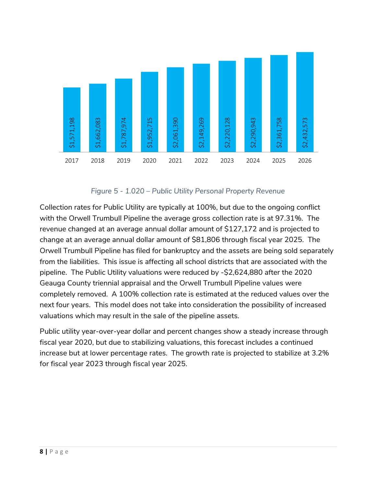

*Figure 5 - 1.020 – Public Utility Personal Property Revenue*

Collection rates for Public Utility are typically at 100%, but due to the ongoing conflict with the Orwell Trumbull Pipeline the average gross collection rate is at 97.31%. The revenue changed at an average annual dollar amount of \$127,172 and is projected to change at an average annual dollar amount of \$81,806 through fiscal year 2025. The Orwell Trumbull Pipeline has filed for bankruptcy and the assets are being sold separately from the liabilities. This issue is affecting all school districts that are associated with the pipeline. The Public Utility valuations were reduced by -\$2,624,880 after the 2020 Geauga County triennial appraisal and the Orwell Trumbull Pipeline values were completely removed. A 100% collection rate is estimated at the reduced values over the next four years. This model does not take into consideration the possibility of increased valuations which may result in the sale of the pipeline assets. Figure 5 - 1.020 - Public Utilit<br>
Collection rates for Public Utility are typically<br>
with the Orwell Trumbull Pipeline the average<br>
revenue changed at an average annual dollar<br>
collection rates for Public Utility are typic

Public utility year-over-year dollar and percent changes show a steady increase through fiscal year 2020, but due to stabilizing valuations, this forecast includes a continued increase but at lower percentage rates. The growth rate is projected to stabilize at 3.2%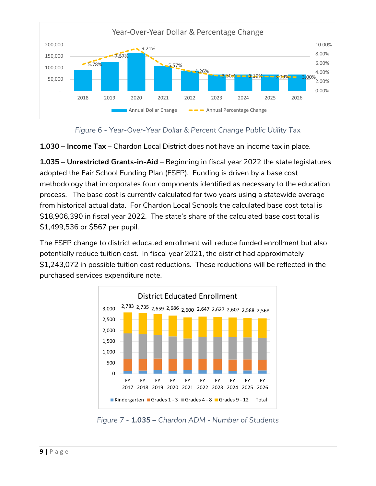



**1.030 – Income Tax** – Chardon Local District does not have an income tax in place.

**1.035 – Unrestricted Grants-in-Aid** – Beginning in fiscal year 2022 the state legislatures adopted the Fair School Funding Plan (FSFP). Funding is driven by a base cost methodology that incorporates four components identified as necessary to the education process. The base cost is currently calculated for two years using a statewide average from historical actual data. For Chardon Local Schools the calculated base cost total is \$18,906,390 in fiscal year 2022. The state's share of the calculated base cost total is \$1,499,536 or \$567 per pupil.

The FSFP change to district educated enrollment will reduce funded enrollment but also potentially reduce tuition cost. In fiscal year 2021, the district had approximately \$1,243,072 in possible tuition cost reductions. These reductions will be reflected in the purchased services expenditure note.



*Figure 7 - 1.035 – Chardon ADM - Number of Students*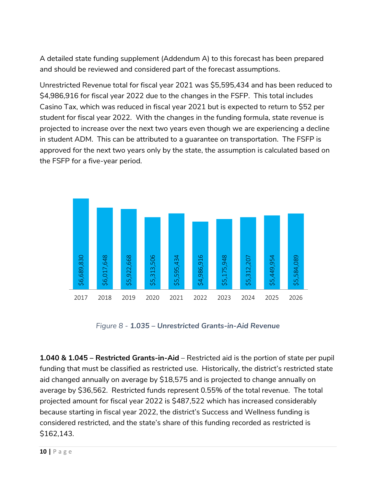A detailed state funding supplement (Addendum A) to this forecast has been prepared and should be reviewed and considered part of the forecast assumptions.

Unrestricted Revenue total for fiscal year 2021 was \$5,595,434 and has been reduced to \$4,986,916 for fiscal year 2022 due to the changes in the FSFP. This total includes Casino Tax, which was reduced in fiscal year 2021 but is expected to return to \$52 per student for fiscal year 2022. With the changes in the funding formula, state revenue is projected to increase over the next two years even though we are experiencing a decline in student ADM. This can be attributed to a guarantee on transportation. The FSFP is approved for the next two years only by the state, the assumption is calculated based on the FSFP for a five-year period.



*Figure 8 - 1.035 – Unrestricted Grants-in-Aid Revenue*

**1.040 & 1.045 – Restricted Grants-in-Aid** – Restricted aid is the portion of state per pupil funding that must be classified as restricted use. Historically, the district's restricted state aid changed annually on average by \$18,575 and is projected to change annually on average by \$36,562. Restricted funds represent 0.55% of the total revenue. The total projected amount for fiscal year 2022 is \$487,522 which has increased considerably because starting in fiscal year 2022, the district's Success and Wellness funding is considered restricted, and the state's share of this funding recorded as restricted is \$162,143.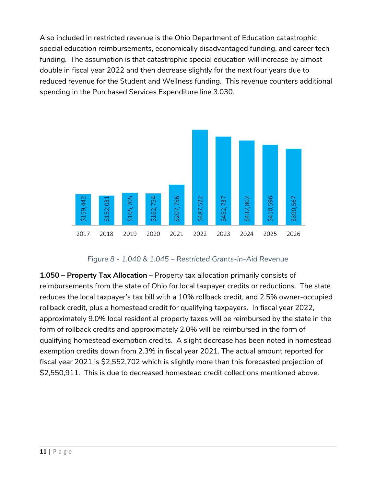Also included in restricted revenue is the Ohio Department of Education catastrophic special education reimbursements, economically disadvantaged funding, and career tech funding. The assumption is that catastrophic special education will increase by almost double in fiscal year 2022 and then decrease slightly for the next four years due to reduced revenue for the Student and Wellness funding. This revenue counters additional spending in the Purchased Services Expenditure line 3.030.



*Figure 8 - 1.040 & 1.045 – Restricted Grants-in-Aid Revenue*

**1.050 – Property Tax Allocation** – Property tax allocation primarily consists of reimbursements from the state of Ohio for local taxpayer credits or reductions. The state reduces the local taxpayer's tax bill with a 10% rollback credit, and 2.5% owner-occupied rollback credit, plus a homestead credit for qualifying taxpayers. In fiscal year 2022, approximately 9.0% local residential property taxes will be reimbursed by the state in the form of rollback credits and approximately 2.0% will be reimbursed in the form of qualifying homestead exemption credits. A slight decrease has been noted in homestead exemption credits down from 2.3% in fiscal year 2021. The actual amount reported for fiscal year 2021 is \$2,552,702 which is slightly more than this forecasted projection of  $\frac{25}{32}$ <br>  $\frac{2017}{32}$ <br>  $\frac{2018}{32}$ <br>  $\frac{2019}{32}$ <br>  $\frac{2019}{32}$ <br>  $\frac{2019}{32}$ <br>  $\frac{2019}{32}$ <br>  $\frac{2019}{32}$ <br>  $\frac{2019}{32}$ <br>  $\frac{2019}{32}$ <br>  $\frac{2019}{32}$ <br>  $\frac{2019}{32}$ <br>  $\frac{2019}{32}$ <br>  $\frac{2019}{32}$ <br>  $\frac{2019}{32}$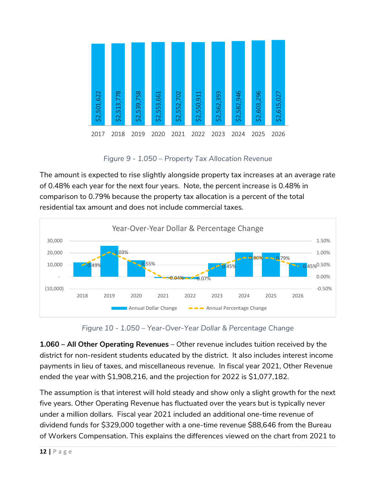| \$2,501,622 | \$2,513,778 | \$2,539,758 | \$2,553,661 | \$2,552,702 | \$2,550,911 | \$2,562,393 | \$2,582,946 | \$2,603,296 | \$2,615,027 |
|-------------|-------------|-------------|-------------|-------------|-------------|-------------|-------------|-------------|-------------|
| 2017        | 2018        | 2019        | 2020        | 2021        | 2022        | 2023        | 2024        | 2025        | 2026        |

*Figure 9 - 1.050 – Property Tax Allocation Revenue*

The amount is expected to rise slightly alongside property tax increases at an average rate of 0.48% each year for the next four years. Note, the percent increase is 0.48% in comparison to 0.79% because the property tax allocation is a percent of the total residential tax amount and does not include commercial taxes.



*Figure 10 - 1.050 – Year-Over-Year Dollar & Percentage Change*

**1.060 – All Other Operating Revenues** – Other revenue includes tuition received by the district for non-resident students educated by the district. It also includes interest income payments in lieu of taxes, and miscellaneous revenue. In fiscal year 2021, Other Revenue ended the year with \$1,908,216, and the projection for 2022 is \$1,077,182.

The assumption is that interest will hold steady and show only a slight growth for the next five years. Other Operating Revenue has fluctuated over the years but is typically never under a million dollars. Fiscal year 2021 included an additional one-time revenue of dividend funds for \$329,000 together with a one-time revenue \$88,646 from the Bureau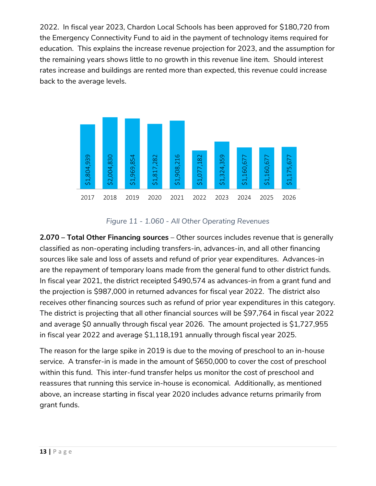2022. In fiscal year 2023, Chardon Local Schools has been approved for \$180,720 from the Emergency Connectivity Fund to aid in the payment of technology items required for education. This explains the increase revenue projection for 2023, and the assumption for the remaining years shows little to no growth in this revenue line item. Should interest rates increase and buildings are rented more than expected, this revenue could increase back to the average levels.



## *Figure 11 - 1.060 - All Other Operating Revenues*

**2.070 – Total Other Financing sources** – Other sources includes revenue that is generally classified as non-operating including transfers-in, advances-in, and all other financing sources like sale and loss of assets and refund of prior year expenditures. Advances-in are the repayment of temporary loans made from the general fund to other district funds. In fiscal year 2021, the district receipted \$490,574 as advances-in from a grant fund and the projection is \$987,000 in returned advances for fiscal year 2022. The district also receives other financing sources such as refund of prior year expenditures in this category. The district is projecting that all other financial sources will be \$97,764 in fiscal year 2022 and average \$0 annually through fiscal year 2026. The amount projected is \$1,727,955 in fiscal year 2022 and average \$1,118,191 annually through fiscal year 2025.

The reason for the large spike in 2019 is due to the moving of preschool to an in-house service. A transfer-in is made in the amount of \$650,000 to cover the cost of preschool within this fund. This inter-fund transfer helps us monitor the cost of preschool and reassures that running this service in-house is economical. Additionally, as mentioned above, an increase starting in fiscal year 2020 includes advance returns primarily from grant funds.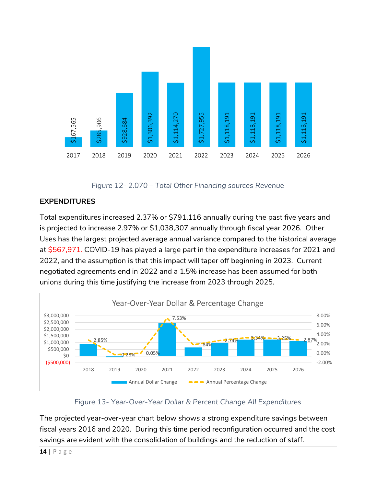

*Figure 12- 2.070 – Total Other Financing sources Revenue*

# **EXPENDITURES**

Total expenditures increased 2.37% or \$791,116 annually during the past five years and is projected to increase 2.97% or \$1,038,307 annually through fiscal year 2026. Other Uses has the largest projected average annual variance compared to the historical average at \$567,971. COVID-19 has played a large part in the expenditure increases for 2021 and 2022, and the assumption is that this impact will taper off beginning in 2023. Current negotiated agreements end in 2022 and a 1.5% increase has been assumed for both unions during this time justifying the increase from 2023 through 2025.



*Figure 13- Year-Over-Year Dollar & Percent Change All Expenditures*

The projected year-over-year chart below shows a strong expenditure savings between fiscal years 2016 and 2020. During this time period reconfiguration occurred and the cost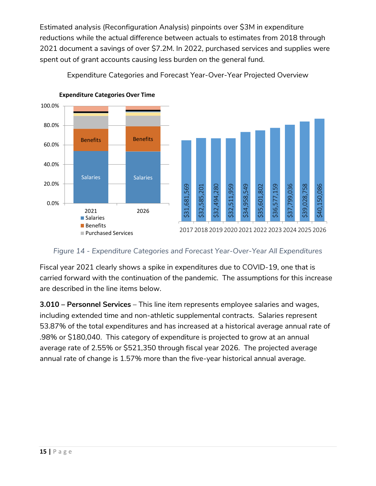Estimated analysis (Reconfiguration Analysis) pinpoints over \$3M in expenditure reductions while the actual difference between actuals to estimates from 2018 through 2021 document a savings of over \$7.2M. In 2022, purchased services and supplies were spent out of grant accounts causing less burden on the general fund.



Expenditure Categories and Forecast Year-Over-Year Projected Overview

*Figure 14 - Expenditure Categories and Forecast Year-Over-Year All Expenditures*

Fiscal year 2021 clearly shows a spike in expenditures due to COVID-19, one that is carried forward with the continuation of the pandemic. The assumptions for this increase are described in the line items below.

**3.010 – Personnel Services** – This line item represents employee salaries and wages, including extended time and non-athletic supplemental contracts. Salaries represent 53.87% of the total expenditures and has increased at a historical average annual rate of .98% or \$180,040. This category of expenditure is projected to grow at an annual average rate of 2.55% or \$521,350 through fiscal year 2026. The projected average annual rate of change is 1.57% more than the five-year historical annual average.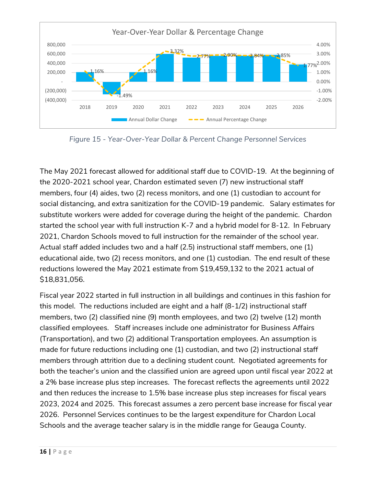

*Figure 15 - Year-Over-Year Dollar & Percent Change Personnel Services*

The May 2021 forecast allowed for additional staff due to COVID-19. At the beginning of the 2020-2021 school year, Chardon estimated seven (7) new instructional staff members, four (4) aides, two (2) recess monitors, and one (1) custodian to account for social distancing, and extra sanitization for the COVID-19 pandemic. Salary estimates for substitute workers were added for coverage during the height of the pandemic. Chardon started the school year with full instruction K-7 and a hybrid model for 8-12. In February 2021, Chardon Schools moved to full instruction for the remainder of the school year. Actual staff added includes two and a half (2.5) instructional staff members, one (1) educational aide, two (2) recess monitors, and one (1) custodian. The end result of these reductions lowered the May 2021 estimate from \$19,459,132 to the 2021 actual of \$18,831,056.

Fiscal year 2022 started in full instruction in all buildings and continues in this fashion for this model. The reductions included are eight and a half (8-1/2) instructional staff members, two (2) classified nine (9) month employees, and two (2) twelve (12) month classified employees. Staff increases include one administrator for Business Affairs (Transportation), and two (2) additional Transportation employees. An assumption is made for future reductions including one (1) custodian, and two (2) instructional staff members through attrition due to a declining student count. Negotiated agreements for both the teacher's union and the classified union are agreed upon until fiscal year 2022 at a 2% base increase plus step increases. The forecast reflects the agreements until 2022 and then reduces the increase to 1.5% base increase plus step increases for fiscal years 2023, 2024 and 2025. This forecast assumes a zero percent base increase for fiscal year 2026. Personnel Services continues to be the largest expenditure for Chardon Local Schools and the average teacher salary is in the middle range for Geauga County.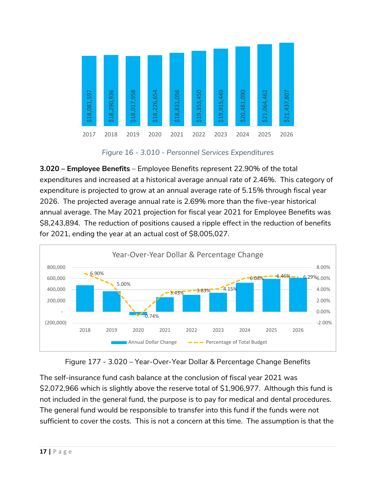

*Figure 16 - 3.010 - Personnel Services Expenditures*

**3.020 – Employee Benefits** – Employee Benefits represent 22.90% of the total expenditures and increased at a historical average annual rate of 2.46%. This category of expenditure is projected to grow at an annual average rate of 5.15% through fiscal year 2026. The projected average annual rate is 2.69% more than the five-year historical annual average. The May 2021 projection for fiscal year 2021 for Employee Benefits was \$8,243,894. The reduction of positions caused a ripple effect in the reduction of benefits for 2021, ending the year at an actual cost of \$8,005,027.



Figure 177 - 3.020 – Year-Over-Year Dollar & Percentage Change Benefits

The self-insurance fund cash balance at the conclusion of fiscal year 2021 was \$2,072,966 which is slightly above the reserve total of \$1,906,977. Although this fund is not included in the general fund, the purpose is to pay for medical and dental procedures. The general fund would be responsible to transfer into this fund if the funds were not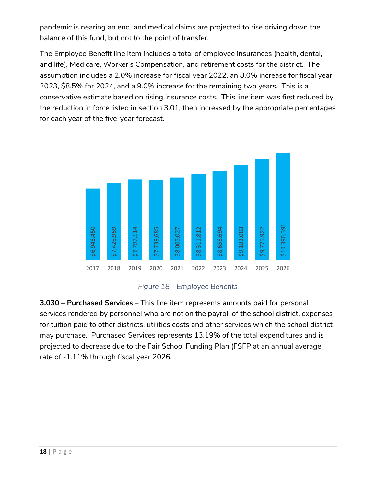pandemic is nearing an end, and medical claims are projected to rise driving down the balance of this fund, but not to the point of transfer.

The Employee Benefit line item includes a total of employee insurances (health, dental, and life), Medicare, Worker's Compensation, and retirement costs for the district. The assumption includes a 2.0% increase for fiscal year 2022, an 8.0% increase for fiscal year 2023, \$8.5% for 2024, and a 9.0% increase for the remaining two years. This is a conservative estimate based on rising insurance costs. This line item was first reduced by the reduction in force listed in section 3.01, then increased by the appropriate percentages for each year of the five-year forecast.



*Figure 18 - Employee Benefits*

**3.030 – Purchased Services** – This line item represents amounts paid for personal services rendered by personnel who are not on the payroll of the school district, expenses for tuition paid to other districts, utilities costs and other services which the school district may purchase. Purchased Services represents 13.19% of the total expenditures and is projected to decrease due to the Fair School Funding Plan (FSFP at an annual average  $\frac{6}{30}$ <br>  $\frac{6}{30}$ <br>  $\frac{6}{30}$ <br>  $\frac{6}{30}$ <br>  $\frac{6}{30}$ <br>  $\frac{6}{30}$ <br>  $\frac{6}{30}$ <br>  $\frac{6}{30}$ <br>  $\frac{6}{30}$ <br>  $\frac{6}{30}$ <br>  $\frac{6}{30}$ <br>  $\frac{6}{30}$ <br>  $\frac{6}{30}$ <br>  $\frac{6}{30}$ <br>  $\frac{6}{30}$ <br>  $\frac{6}{30}$ <br>  $\frac{6}{30}$ <br>  $\frac{6}{30}$ <br>  $\frac{6$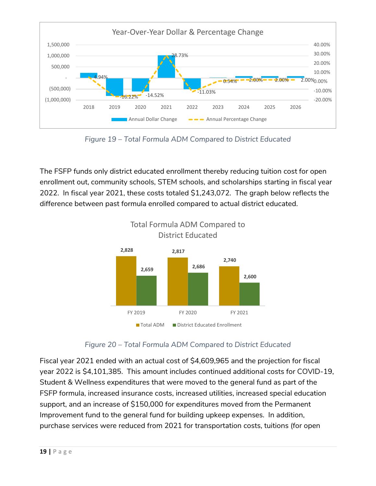

*Figure 19 – Total Formula ADM Compared to District Educated*

The FSFP funds only district educated enrollment thereby reducing tuition cost for open enrollment out, community schools, STEM schools, and scholarships starting in fiscal year 2022. In fiscal year 2021, these costs totaled \$1,243,072. The graph below reflects the difference between past formula enrolled compared to actual district educated.



*Figure 20 – Total Formula ADM Compared to District Educated*

Fiscal year 2021 ended with an actual cost of \$4,609,965 and the projection for fiscal year 2022 is \$4,101,385. This amount includes continued additional costs for COVID-19, Student & Wellness expenditures that were moved to the general fund as part of the FSFP formula, increased insurance costs, increased utilities, increased special education support, and an increase of \$150,000 for expenditures moved from the Permanent Improvement fund to the general fund for building upkeep expenses. In addition, purchase services were reduced from 2021 for transportation costs, tuitions (for open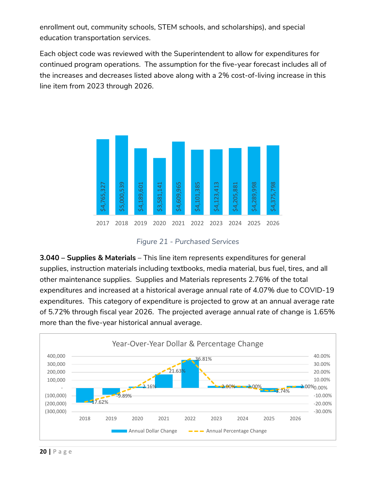enrollment out, community schools, STEM schools, and scholarships), and special education transportation services.

Each object code was reviewed with the Superintendent to allow for expenditures for continued program operations. The assumption for the five-year forecast includes all of the increases and decreases listed above along with a 2% cost-of-living increase in this line item from 2023 through 2026.



*Figure 21 - Purchased Services*

**3.040 – Supplies & Materials** – This line item represents expenditures for general supplies, instruction materials including textbooks, media material, bus fuel, tires, and all other maintenance supplies. Supplies and Materials represents 2.76% of the total expenditures and increased at a historical average annual rate of 4.07% due to COVID-19 expenditures. This category of expenditure is projected to grow at an annual average rate of 5.72% through fiscal year 2026. The projected average annual rate of change is 1.65% more than the five-year historical annual average.<br>  $\frac{3.040}{3.5}$   $\frac{3.000}{3.5}$   $\frac{3.000}{3.5}$   $\frac{3.000}{3.5}$   $\frac{3.000}{3.5}$   $\frac{3.000}{3.5}$   $\frac{3.000}{3.5}$   $\frac{3.000}{3.5}$   $\frac{3.000}{3.5}$   $\frac{3.000}{3.5}$   $\frac{3.000$ 

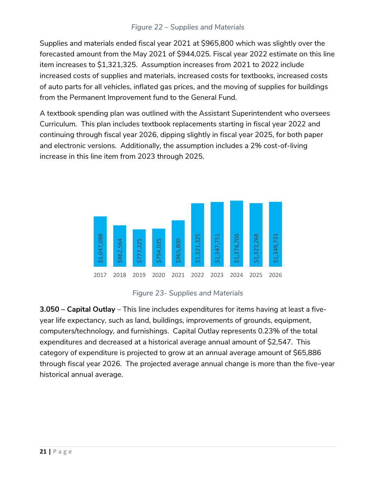## *Figure 22 – Supplies and Materials*

Supplies and materials ended fiscal year 2021 at \$965,800 which was slightly over the forecasted amount from the May 2021 of \$944,025. Fiscal year 2022 estimate on this line item increases to \$1,321,325. Assumption increases from 2021 to 2022 include increased costs of supplies and materials, increased costs for textbooks, increased costs of auto parts for all vehicles, inflated gas prices, and the moving of supplies for buildings from the Permanent Improvement fund to the General Fund.

A textbook spending plan was outlined with the Assistant Superintendent who oversees Curriculum. This plan includes textbook replacements starting in fiscal year 2022 and continuing through fiscal year 2026, dipping slightly in fiscal year 2025, for both paper and electronic versions. Additionally, the assumption includes a 2% cost-of-living increase in this line item from 2023 through 2025.



### *Figure 23- Supplies and Materials*

**3.050 – Capital Outlay** – This line includes expenditures for items having at least a fiveyear life expectancy, such as land, buildings, improvements of grounds, equipment, computers/technology, and furnishings. Capital Outlay represents 0.23% of the total expenditures and decreased at a historical average annual amount of \$2,547. This category of expenditure is projected to grow at an annual average amount of \$65,886 through fiscal year 2026. The projected average annual change is more than the five-year and a vertex of the same of the set of the set of the set of the set of the set of the set of the set of the set of the set of the set of the set of the set of the set of the set of the set of the set of the set of the set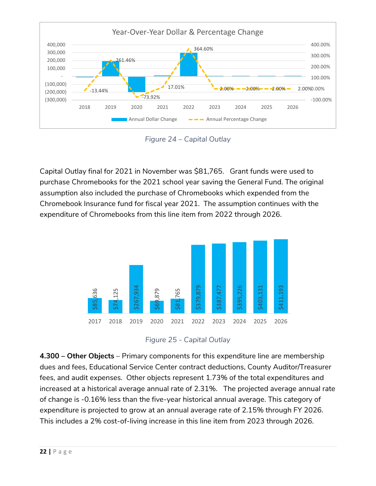

*Figure 24 – Capital Outlay*

Capital Outlay final for 2021 in November was \$81,765. Grant funds were used to purchase Chromebooks for the 2021 school year saving the General Fund. The original assumption also included the purchase of Chromebooks which expended from the Chromebook Insurance fund for fiscal year 2021. The assumption continues with the expenditure of Chromebooks from this line item from 2022 through 2026.



*Figure 25 - Capital Outlay*

**4.300 – Other Objects** – Primary components for this expenditure line are membership dues and fees, Educational Service Center contract deductions, County Auditor/Treasurer fees, and audit expenses. Other objects represent 1.73% of the total expenditures and increased at a historical average annual rate of 2.31%. The projected average annual rate of change is -0.16% less than the five-year historical annual average. This category of expenditure is projected to grow at an annual average rate of 2.15% through FY 2026. This includes a 2% cost-of-living increase in this line item from 2023 through 2026.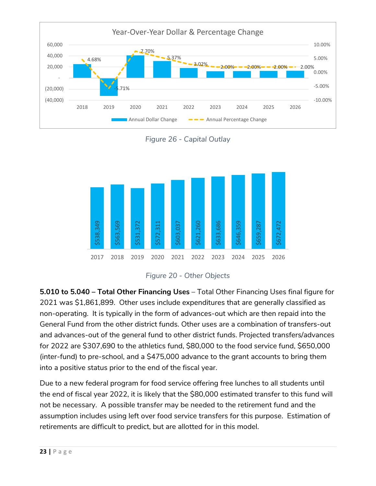

*Figure 26 - Capital Outlay*



*Figure 20 - Other Objects*

**5.010 to 5.040 – Total Other Financing Uses** – Total Other Financing Uses final figure for 2021 was \$1,861,899. Other uses include expenditures that are generally classified as non-operating. It is typically in the form of advances-out which are then repaid into the General Fund from the other district funds. Other uses are a combination of transfers-out and advances-out of the general fund to other district funds. Projected transfers/advances for 2022 are \$307,690 to the athletics fund, \$80,000 to the food service fund, \$650,000 (inter-fund) to pre-school, and a \$475,000 advance to the grant accounts to bring them into a positive status prior to the end of the fiscal year.

Due to a new federal program for food service offering free lunches to all students until the end of fiscal year 2022, it is likely that the \$80,000 estimated transfer to this fund will not be necessary. A possible transfer may be needed to the retirement fund and the assumption includes using left over food service transfers for this purpose. Estimation of retirements are difficult to predict, but are allotted for in this model.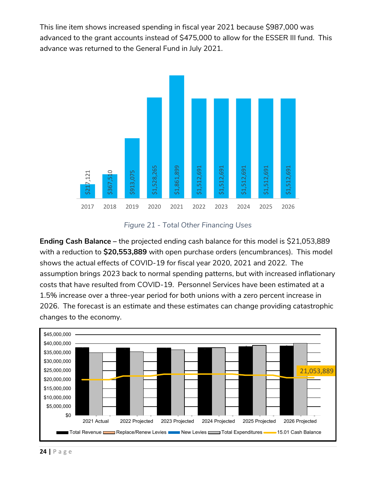This line item shows increased spending in fiscal year 2021 because \$987,000 was advanced to the grant accounts instead of \$475,000 to allow for the ESSER III fund. This advance was returned to the General Fund in July 2021.



*Figure 21 - Total Other Financing Uses*

**Ending Cash Balance –** the projected ending cash balance for this model is \$21,053,889 with a reduction to **\$20,553,889** with open purchase orders (encumbrances). This model shows the actual effects of COVID-19 for fiscal year 2020, 2021 and 2022. The assumption brings 2023 back to normal spending patterns, but with increased inflationary costs that have resulted from COVID-19. Personnel Services have been estimated at a 1.5% increase over a three-year period for both unions with a zero percent increase in 2026. The forecast is an estimate and these estimates can change providing catastrophic Ending Cash Balance – t<br>
Ending Cash Balance – t<br>
with a reduction to \$20,5<br>
shows the actual effects<br>
assumption brings 2023<br>
costs that have resulted f<br>
1.5% increase over a thre<br>
2026. The forecast is an<br>
changes to the

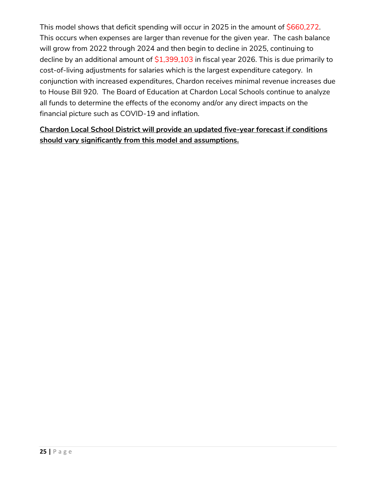This model shows that deficit spending will occur in 2025 in the amount of \$660,272. This occurs when expenses are larger than revenue for the given year. The cash balance will grow from 2022 through 2024 and then begin to decline in 2025, continuing to decline by an additional amount of  $$1,399,103$  in fiscal year 2026. This is due primarily to cost-of-living adjustments for salaries which is the largest expenditure category. In conjunction with increased expenditures, Chardon receives minimal revenue increases due to House Bill 920. The Board of Education at Chardon Local Schools continue to analyze all funds to determine the effects of the economy and/or any direct impacts on the financial picture such as COVID-19 and inflation.

# **Chardon Local School District will provide an updated five-year forecast if conditions should vary significantly from this model and assumptions.**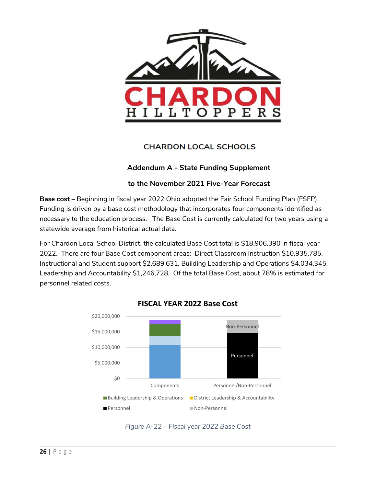

# **CHARDON LOCAL SCHOOLS**

## **Addendum A - State Funding Supplement**

### **to the November 2021 Five-Year Forecast**

**Base cost –** Beginning in fiscal year 2022 Ohio adopted the Fair School Funding Plan (FSFP). Funding is driven by a base cost methodology that incorporates four components identified as necessary to the education process. The Base Cost is currently calculated for two years using a statewide average from historical actual data.

For Chardon Local School District, the calculated Base Cost total is \$18,906,390 in fiscal year 2022. There are four Base Cost component areas: Direct Classroom Instruction \$10,935,785, Instructional and Student support \$2,689,631, Building Leadership and Operations \$4,034,345, Leadership and Accountability \$1,246,728. Of the total Base Cost, about 78% is estimated for personnel related costs.





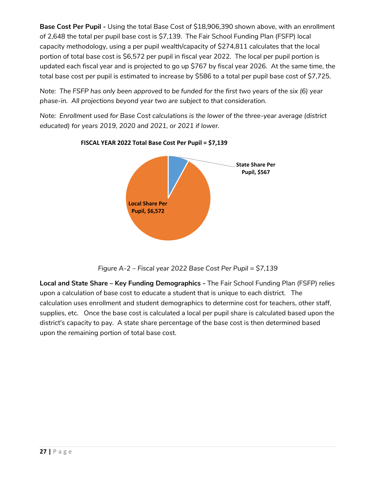**Base Cost Per Pupil -** Using the total Base Cost of \$18,906,390 shown above, with an enrollment of 2,648 the total per pupil base cost is \$7,139. The Fair School Funding Plan (FSFP) local capacity methodology, using a per pupil wealth/capacity of \$274,811 calculates that the local portion of total base cost is \$6,572 per pupil in fiscal year 2022. The local per pupil portion is updated each fiscal year and is projected to go up \$767 by fiscal year 2026. At the same time, the total base cost per pupil is estimated to increase by \$586 to a total per pupil base cost of \$7,725.

*Note: The FSFP has only been approved to be funded for the first two years of the six (6) year phase-in. All projections beyond year two are subject to that consideration.*

*Note: Enrollment used for Base Cost calculations is the lower of the three-year average (district educated) for years 2019, 2020 and 2021, or 2021 if lower.*



**FISCAL YEAR 2022 Total Base Cost Per Pupil = \$7,139**

*Figure A-2 – Fiscal year 2022 Base Cost Per Pupil = \$7,139*

**Local and State Share – Key Funding Demographics -** The Fair School Funding Plan (FSFP) relies upon a calculation of base cost to educate a student that is unique to each district. The calculation uses enrollment and student demographics to determine cost for teachers, other staff, supplies, etc. Once the base cost is calculated a local per pupil share is calculated based upon the district's capacity to pay. A state share percentage of the base cost is then determined based upon the remaining portion of total base cost.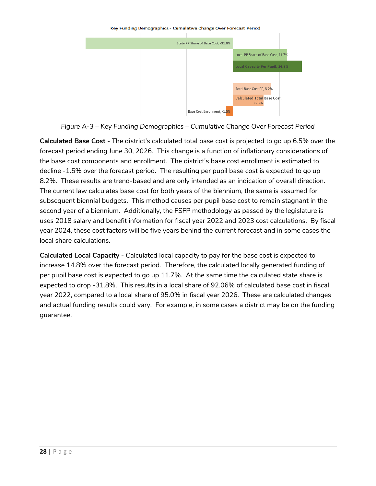

*Figure A-3 – Key Funding Demographics – Cumulative Change Over Forecast Period*

**Calculated Base Cost** - The district's calculated total base cost is projected to go up 6.5% over the forecast period ending June 30, 2026. This change is a function of inflationary considerations of the base cost components and enrollment. The district's base cost enrollment is estimated to decline ‐1.5% over the forecast period. The resulting per pupil base cost is expected to go up 8.2%. These results are trend‐based and are only intended as an indication of overall direction. The current law calculates base cost for both years of the biennium, the same is assumed for subsequent biennial budgets. This method causes per pupil base cost to remain stagnant in the second year of a biennium. Additionally, the FSFP methodology as passed by the legislature is uses 2018 salary and benefit information for fiscal year 2022 and 2023 cost calculations. By fiscal year 2024, these cost factors will be five years behind the current forecast and in some cases the local share calculations.

**Calculated Local Capacity** - Calculated local capacity to pay for the base cost is expected to increase 14.8% over the forecast period. Therefore, the calculated locally generated funding of per pupil base cost is expected to go up 11.7%. At the same time the calculated state share is expected to drop ‐31.8%. This results in a local share of 92.06% of calculated base cost in fiscal year 2022, compared to a local share of 95.0% in fiscal year 2026. These are calculated changes and actual funding results could vary. For example, in some cases a district may be on the funding guarantee.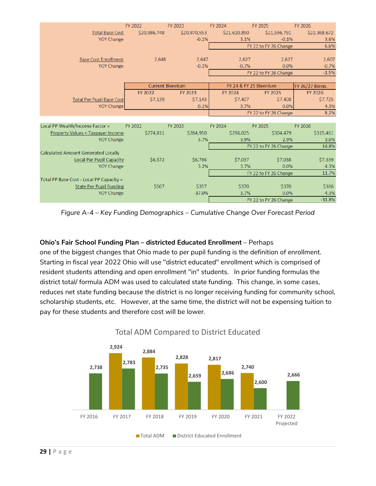|                                            | FY 2022      | FY 2023                 | FY 2024      | FY 2025                | FY 2026         |
|--------------------------------------------|--------------|-------------------------|--------------|------------------------|-----------------|
| <b>Total Base Cost</b>                     | \$20,986,748 | \$20,970,553            | \$21,610,850 | \$21,596,791           | \$22,368,672    |
| <b>YOY Change</b>                          |              | $-0.1%$                 | 3.1%         | $-0.1%$                | 3.6%            |
|                                            |              |                         |              | FY 22 to FY 26 Change  | 6.6%            |
|                                            |              |                         |              |                        |                 |
| <b>Base Cost Enrollment</b>                | 2.648        | 2.647                   | 2.627        | 2.627                  | 2,607           |
| <b>YOY Change</b>                          |              | $-0.1%$                 | $-0.7%$      | 0.0%                   | $-0.7%$         |
|                                            |              |                         |              | FY 22 to FY 26 Change  | $-1.5%$         |
|                                            |              |                         |              |                        |                 |
|                                            |              | <b>Current Biennium</b> |              | FY 24 & FY 25 Biennium | FY 26/27 Bienn. |
|                                            | FY 2022      | FY 2023                 | FY 2024      | FY 2025                | FY 2026         |
| <b>Total Per Pupil Base Cost</b>           | \$7,139      | \$7,143                 | \$7,407      | \$7,408                | \$7,725         |
| <b>YOY Change</b>                          |              | 0.1%                    | 3.7%         | 0.0%                   | 4.3%            |
|                                            |              |                         |              | FY 22 to FY 26 Change  | 8.2%            |
|                                            |              |                         |              |                        |                 |
| Local PP Wealth/Income Factor =            | FY 2022      | FY 2023                 | FY 2024      | FY 2025                | FY 2026         |
| Property Values + Taxpayer Income          | \$274,811    | \$284,950               | \$296,025    | \$304,479              | \$315,461       |
| <b>YOY Change</b>                          |              | 3.7%                    | 3.9%         | 2.9%                   | 3.6%            |
|                                            |              |                         |              | FY 22 to FY 26 Change  | 14.8%           |
| <b>Calculated Amount Generated Locally</b> |              |                         |              |                        |                 |
| <b>Local Per Pupil Capacity</b>            | \$6,572      | \$6,786                 | \$7,037      | \$7,038                | \$7,339         |
| <b>YOY Change</b>                          |              | 3.2%                    | 3.7%         | 0.0%                   | 4.3%            |
|                                            |              |                         |              | FY 22 to FY 26 Change  | 11.7%           |
| Total PP Base Cost - Local PP Capacity =   |              |                         |              |                        |                 |
| <b>State Per Pupil Funding</b>             | \$567        | \$357                   | \$370        | \$370                  | \$386           |
| <b>YOY Change</b>                          |              | $-37.0%$                | 3.7%         | 0.0%                   | 4.3%            |
|                                            |              |                         |              | FY 22 to FY 26 Change  | $-31.8%$        |

*Figure A-4 – Key Funding Demographics – Cumulative Change Over Forecast Period*

### **Ohio's Fair School Funding Plan – districted Educated Enrollment** – Perhaps

one of the biggest changes that Ohio made to per pupil funding is the definition of enrollment. Starting in fiscal year 2022 Ohio will use "district educated" enrollment which is comprised of resident students attending and open enrollment "in" students. In prior funding formulas the district total/ formula ADM was used to calculated state funding. This change, in some cases, reduces net state funding because the district is no longer receiving funding for community school, scholarship students, etc. However, at the same time, the district will not be expensing tuition to pay for these students and therefore cost will be lower.



# Total ADM Compared to District Educated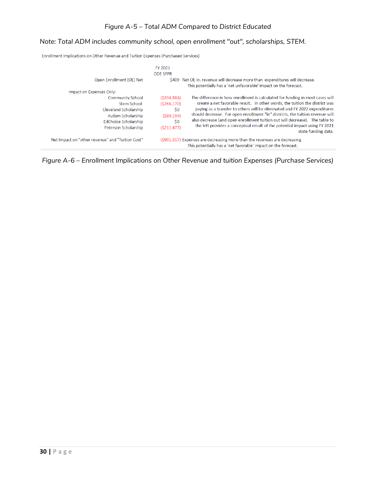## *Note: Total ADM includes community school, open enrollment "out", scholarships, STEM.*

Enrollment Implications on Other Revenue and Tuition Expenses (Purchased Services)

|                                                                                                                                       | FY 2021<br><b>ODE SEPR</b>                                              |                                                                                                                                                                                                                                                                                                                                                                                                                                                                                                                  |
|---------------------------------------------------------------------------------------------------------------------------------------|-------------------------------------------------------------------------|------------------------------------------------------------------------------------------------------------------------------------------------------------------------------------------------------------------------------------------------------------------------------------------------------------------------------------------------------------------------------------------------------------------------------------------------------------------------------------------------------------------|
| Open Enrollment (OE) Net                                                                                                              |                                                                         | \$409 Net OE In, revenue will decrease more than expenditures will decrease.<br>This potentially has a 'net unfavorable' impact on the forecast.                                                                                                                                                                                                                                                                                                                                                                 |
| Impact on Expenses Only:                                                                                                              |                                                                         |                                                                                                                                                                                                                                                                                                                                                                                                                                                                                                                  |
| <b>Community School</b><br>Stem School<br>Cleveland Scholarship<br>Autism Scholarship<br>EdChoice Scholarship<br>Peterson Scholarship | (5334.884)<br>(S266, 170)<br>\$0<br>$($ \$89,194)<br>\$0<br>(S211, 477) | The difference in how enrollment is calculated for funding in most cases will<br>create a net favorable result. In other words, the tuition the district was<br>paying as a transfer to others will be eliminated and FY 2022 expenditures<br>should decrease. For open enrollment "in" districts, the tuition revenue will<br>also decrease (and open enrollment tuition out will decrease). The table to<br>the left provides a conceptual result of the potential impact using FY 2021<br>state funding data. |
| Net Impact on "other revenue" and "Tuition Cost"                                                                                      |                                                                         | (\$901,317) Expenses are decreasing more than the revenues are decreasing<br>This potentially has a 'net favorable' impact on the forecast.                                                                                                                                                                                                                                                                                                                                                                      |
|                                                                                                                                       |                                                                         |                                                                                                                                                                                                                                                                                                                                                                                                                                                                                                                  |

*Figure A-6 – Enrollment Implications on Other Revenue and tuition Expenses (Purchase Services)*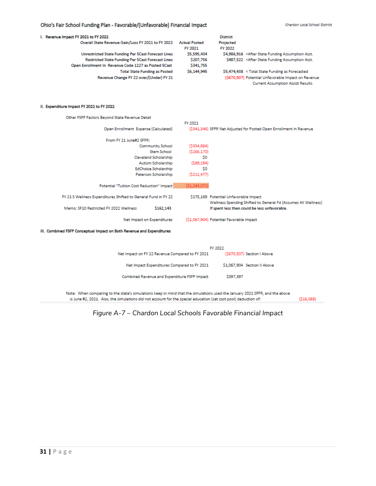#### Ohio's Fair School Funding Plan - Favorable/(Unfavorable) Financial Impact

| I. Revenue Impact FY 2021 to FY 2022                      |                      | <b>District</b> |                                                                               |
|-----------------------------------------------------------|----------------------|-----------------|-------------------------------------------------------------------------------|
| Overall State Revenue Gain/Loss FY 2021 to FY 2022        | <b>Actual Posted</b> | Projected       |                                                                               |
|                                                           | FY 2021              | FY 2022         |                                                                               |
| Unrestricted State Funding Per 5Cast Forecast Lines       | \$5,595,434          |                 | \$4,986,916 <after asst.<="" assumption="" funding="" state="" td=""></after> |
| <b>Restricted State Funding Per 5 Cast Forecast Lines</b> | \$207.756            |                 | \$487,522 < After State Funding Assumption Asst.                              |
| Open Enrollment In Revenue Code 1227 as Posted 5Cast      | \$341,755            |                 |                                                                               |
| <b>Total State Funding as Posted</b>                      | \$6,144,945          |                 | \$5,474,438 <total as="" forecasted<="" funding="" state="" td=""></total>    |
| Revenue Change FY 22 over/(Under) FY 21                   |                      |                 | (\$670,507) Potential Unfavorable Impact on Revenue                           |
|                                                           |                      |                 | <b>Current Assumption Assist Results</b>                                      |

#### II. Expenditure Impact FY 2021 to FY 2022

| Other FSFP Factors Beyond State Revenue Detail                 |                                                                                                          |
|----------------------------------------------------------------|----------------------------------------------------------------------------------------------------------|
|                                                                | FY 2021                                                                                                  |
| Open Enrollment Expense (Calculated)                           | (\$341,346) SFPR Net Adjusted for Posted Open Enrollment In Revenue                                      |
| From FY 21 June#2 SFPR:                                        |                                                                                                          |
| <b>Community School</b>                                        | (5334.884)                                                                                               |
| <b>Stem School</b>                                             | (S266, 170)                                                                                              |
| Cleveland Scholarship                                          | S0                                                                                                       |
| Autism Scholarship                                             | (589, 194)                                                                                               |
| EdChoice Scholarship                                           | \$0                                                                                                      |
| Peterson Scholarship                                           | (\$211,477)                                                                                              |
| Potential "Tuition Cost Reduction" Impact                      | (51, 243, 072)                                                                                           |
| FY 21 S Wellness Expenditures Shifted to General Fund in FY 22 | \$175,169 Potential Unfavorable Impact<br>Wellness Spending Shifted to General Fd (Assumes All Wellness) |
| Memo: SF10 Restricted FY 2022 Wellness<br>\$162.143            | If spent less then could be less unfavorable.                                                            |
| Net Impact on Expenditures                                     | (\$1,067,904) Potential Favorable Impact                                                                 |

#### III. Combined FSFP Conceptual Impact on Both Revenue and Expenditures

|                                                 | FY 2022                      |
|-------------------------------------------------|------------------------------|
| Net Impact on FY 22 Revenue Compared to FY 2021 | (\$670,507) Section I Above  |
| Net Impact Expenditures Compared to FY 2021     | \$1,067,904 Section II Above |
| Combined Revenue and Expenditure FSFP Impact    | \$397,397                    |

Note: When comparing to the state's simulations keep in mind that the simulations used the January 2021 SFPR, and the above is June #2, 2021. Also, the simulations did not account for the special education (cat cost pool) deduction of:

 $(516,088)$ 

*Figure A-7 – Chardon Local Schools Favorable Financial Impact*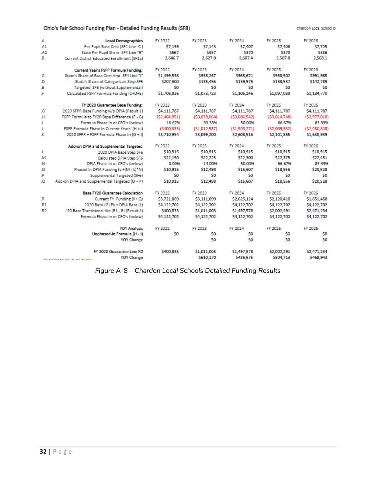#### Ohio's Fair School Funding Plan - Detailed Funding Results (SF8)

Chardon Local School Di

| .A  | <b>Local Demographics</b>                      | FY 2022      | FY 2023      | FY 2024      | FY 2025      | FY 2026      |
|-----|------------------------------------------------|--------------|--------------|--------------|--------------|--------------|
| A1  | Per Pupil Base Cost (SF4 Line C)               | \$7,139      | \$7,143      | \$7,407      | \$7,408      | \$7,725      |
| A2  | State Per Pupil Share SF4 Line "E"             | \$567        | \$357        | \$370        | \$370        | \$386        |
| .B  | Current Distrct Educated Enrollment (SF1a)     | 2,646.7      | 2,627.0      | 2,607.4      | 2,587.8      | 2,568.1      |
|     | Current Year's FSFP Formula Funding:           | FY 2022      | FY 2023      | FY 2024      | FY 2025      | FY 2026      |
| .c  | State's Share of Base Cost Amt. SF4 Line "I"   | \$1,499,536  | \$938,267    | \$965,671    | \$958,502    | \$991,985    |
| .D  | State's Share of Categoricals Step SF5         | \$207,300    | \$135,456    | \$139,575    | \$138,537    | \$142,785    |
| Æ   | Targeted SF6 (without Supplemental)            | \$0          | \$0          | \$0          | \$0          | \$0          |
| F   | Calculated FSFP Formula Funding (C+D+E)        | \$1,706,836  | \$1,073,723  | \$1,105,246  | \$1,097,039  | \$1,134,770  |
|     | FY 2020 Guarantee Base Funding:                | FY 2022      | FY 2023      | FY 2024      | FY 2025      | FY 2026      |
| .G  | 2020 SFPR Base Funding w/o DPIA (Result 1)     | \$4,111,787  | \$4,111,787  | \$4,111,787  | \$4,111,787  | \$4,111,787  |
| н   | FSFP Formula to FY20 Base Difference (F - G)   | (52,404,951) | (53,038,064) | (53,006,542) | (53.014.748) | (52,977,018) |
| T.  | Formula Phase In or CFO's (below)              | 16.67%       | 33.33%       | 50.00%       | 66.67%       | 83.33%       |
| Т   | FSFP Formula Phase In Current Years' (H x I)   | (5400.833)   | (51.012.587) | (51.503.271) | (52,009,932) | (52,480,848) |
| ж   | 2020 SFPR + FSFP Formula Phase In (G + J)      | \$3,710.954  | \$3,099,200  | \$2,608,516  | \$2,101,855  | \$1,630,939  |
|     | Add-on DPIA and Supplemental Targeted          | FY 2022      | FY 2023      | FY 2024      | FY 2025      | FY 2026      |
| J.  | 2020 DPIA Base Step SF6                        | \$10,915     | \$10,915     | \$10,915     | \$10,915     | \$10,915     |
| .M  | Calculated DPIA Step SF6                       | \$22,150     | \$22,225     | \$22,300     | \$22,375     | \$22,451     |
| .N  | DPIA Phase In or CFO's (below)                 | 0.00%        | 14.00%       | 50.00%       | 66.67%       | 83.33%       |
| ٥.  | Phased In DPIA Funding (L+(M - L)*N)           | \$10,915     | \$12,498     | \$16,607     | \$18,556     | \$20,528     |
| .Р  | Supplemental Targeted (SF6)                    | \$0          | S0           | S0           | S0           | S0           |
| Ω.  | Add-on DPIA and Supplemental Targeted (O + P)  | \$10.915     | \$12,498     | \$16,607     | \$18,556     | \$20,528     |
|     | <b>Base FY20 Guarantee Calculation</b>         | FY 2022      | FY 2023      | FY 2024      | FY 2025      | FY 2026      |
| .R  | Current FY Funding (K+Q)                       | \$3,721,869  | \$3,111,699  | \$2,625,124  | \$2,120,410  | \$1,651,468  |
| .R1 | 2020 Base (G) Plus DPIA Base (L)               | \$4,122,702  | \$4,122,702  | \$4,122,702  | \$4,122,702  | \$4,122,702  |
| .R2 | .'20 Base Transitional Aid (R1 - R) (Result 1) | \$400,833    | \$1,011,003  | \$1,497,578  | \$2,002,291  | \$2,471,234  |
|     | Formula Phase In or CFO's (below)              | \$4,122,702  | \$4,122,702  | \$4,122,702  | \$4,122,702  | \$4,122,702  |
|     | <b>YOY Analysis</b>                            | FY 2022      | FY 2023      | FY 2024      | FY 2025      | FY 2026      |
|     | Unphased-in Formula (H - J)                    | \$0          | \$0          | \$0          | \$0          | \$0          |
|     | <b>YOY Change</b>                              |              | \$0          | S0           | \$0          | \$0          |
|     | FY 2020 Guarantee Line R2                      | \$400,833    | \$1,011,003  | \$1,497,578  | \$2,002,291  | \$2,471,234  |
|     | <b>YOY Change</b><br>$-0.0000101000$           |              | \$610,170    | \$486.575    | \$504,713    | \$468.943    |

*Figure A-8 – Chardon Local Schools Detailed Funding Results*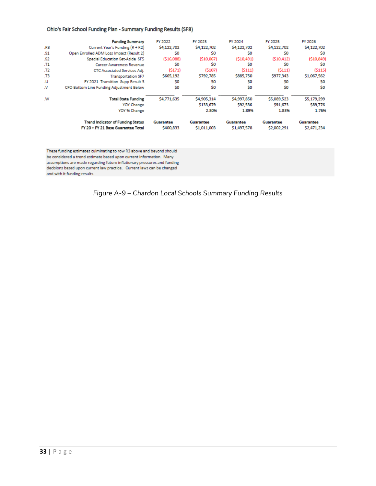#### Ohio's Fair School Funding Plan - Summary Funding Results (SF8)

|               | <b>Funding Summary</b>                   | FY 2022     | FY 2023     | FY 2024     | FY 2025     | FY 2026     |
|---------------|------------------------------------------|-------------|-------------|-------------|-------------|-------------|
| .R3           | Current Year's Funding (R + R2)          | \$4,122,702 | \$4,122,702 | \$4,122,702 | \$4,122,702 | \$4,122,702 |
| .S1           | Open Enrolled ADM Loss Impact (Result 2) | \$0         | \$O         | \$0         | \$0         | \$0         |
| .S2           | Special Education Set-Aside SF5          | (516,088)   | (510,067)   | (510, 491)  | (510, 412)  | (510, 849)  |
| .11           | Career Awareness Revenue                 | S0          | \$0         | \$0         | \$0         | S0          |
| .T2           | CTC Associated Services Adi.             | (5171)      | (5107)      | (5111)      | (5111)      | (5115)      |
| .T3           | <b>Transportation SF7</b>                | \$665,192   | \$792,785   | \$885,750   | \$977,343   | \$1,067,562 |
| .U            | FY 2021 Transition Supp Result 3         | \$0         | \$0         | \$0         | \$0         | S0          |
| $\mathcal{N}$ | CFO Bottom Line Funding Adjustment Below | \$0         | \$0         | \$0         | \$0         | \$0         |
| .W            | <b>Total State Funding</b>               | \$4,771,635 | \$4,905,314 | \$4,997,850 | \$5,089,523 | \$5,179,299 |
|               | <b>YOY Change</b>                        |             | \$133,679   | \$92,536    | \$91,673    | \$89,776    |
|               | YOY % Change                             |             | 2.80%       | 1.89%       | 1.83%       | 1.76%       |
|               | <b>Trend Indicator of Funding Status</b> | Guarantee   | Guarantee   | Guarantee   | Guarantee   | Guarantee   |
|               | FY 20 + FY 21 Base Guarantee Total       | \$400.833   | \$1,011,003 | \$1,497,578 | \$2,002.291 | \$2,471.234 |

These funding estimates culminating to row R3 above and beyond should be considered a trend estimate based upon current information. Many assumptions are made regarding future inflationary pressures and funding decisions based upon current law practice. Current laws can be changed and with it funding results.

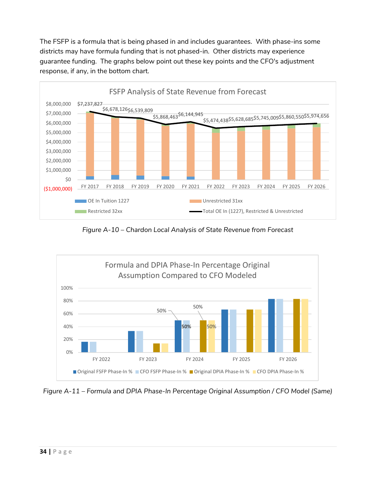The FSFP is a formula that is being phased in and includes guarantees. With phase-ins some districts may have formula funding that is not phased-in. Other districts may experience guarantee funding. The graphs below point out these key points and the CFO's adjustment response, if any, in the bottom chart.



*Figure A-10 – Chardon Local Analysis of State Revenue from Forecast*



*Figure A-11 – Formula and DPIA Phase-In Percentage Original Assumption / CFO Model (Same)*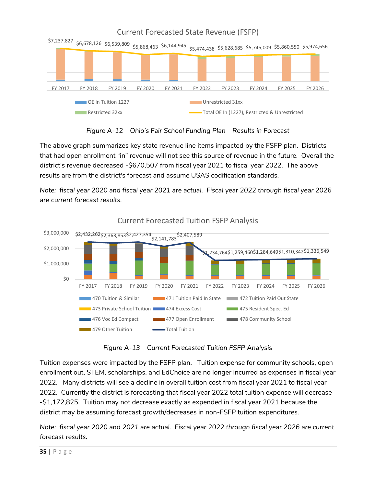

*Figure A-12 – Ohio's Fair School Funding Plan – Results in Forecast*

The above graph summarizes key state revenue line items impacted by the FSFP plan. Districts that had open enrollment "in" revenue will not see this source of revenue in the future. Overall the district's revenue decreased ‐\$670,507 from fiscal year 2021 to fiscal year 2022. The above results are from the district's forecast and assume USAS codification standards.

*Note: fiscal year 2020 and fiscal year 2021 are actual. Fiscal year 2022 through fiscal year 2026 are current forecast results.*



Current Forecasted Tuition FSFP Analysis

*Figure A-13 – Current Forecasted Tuition FSFP Analysis*

Tuition expenses were impacted by the FSFP plan. Tuition expense for community schools, open enrollment out, STEM, scholarships, and EdChoice are no longer incurred as expenses in fiscal year 2022. Many districts will see a decline in overall tuition cost from fiscal year 2021 to fiscal year 2022. Currently the district is forecasting that fiscal year 2022 total tuition expense will decrease ‐\$1,172,825. Tuition may not decrease exactly as expended in fiscal year 2021 because the district may be assuming forecast growth/decreases in non‐FSFP tuition expenditures.

*Note: fiscal year 2020 and 2021 are actual. Fiscal year 2022 through fiscal year 2026 are current forecast results.*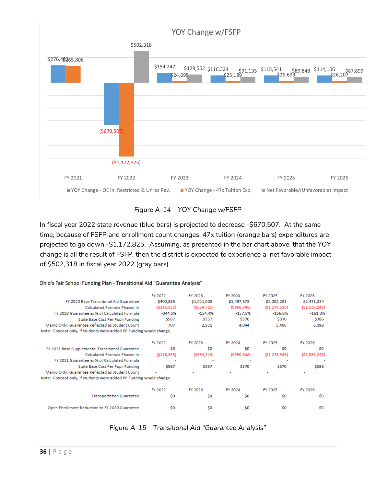

*Figure A-14 – YOY Change w/FSFP*

In fiscal year 2022 state revenue (blue bars) is projected to decrease ‐\$670,507. At the same time, because of FSFP and enrollment count changes, 47x tuition (orange bars) expenditures are projected to go down ‐\$1,172,825. Assuming, as presented in the bar chart above, that the YOY change is all the result of FSFP, then the district is expected to experience a net favorable impact of \$502,318 in fiscal year 2022 (gray bars).

|                                                                     | FY 2022        | FY 2023        | FY 2024     | FY 2025        | FY 2026        |
|---------------------------------------------------------------------|----------------|----------------|-------------|----------------|----------------|
| FY 2020 Base Transitional Aid Guarantee                             | \$400,833      | \$1,011,003    | \$1,497,578 | \$2,002,291    | \$2,471,234    |
| Calculated Formula Phased In                                        | (S116, 355)    | (S654, 715)    | (S950, 648) | (S1, 278, 536) | (S1, 535, 245) |
| FY 2020 Guarantee as % of Calculated Formula                        | $-344.5%$      | $-154.4%$      | $-157.5%$   | $-156.6%$      | $-161.0%$      |
| State Base Cost Per Pupil Funding                                   | \$567          | \$357          | \$370       | \$370          | \$386          |
| Memo Only: Guarantee Reflected as Student Count                     | 707            | 2,831          | 4,044       | 5,406          | 6,398          |
| Note: Concept only, if students were added PP Funding would change. |                |                |             |                |                |
|                                                                     | FY 2022        | FY 2023        | FY 2024     | FY 2025        | FY 2026        |
| FY 2021 Base Supplemental Transitional Guarantee                    | S <sub>0</sub> | S0             | \$0         | S <sub>0</sub> | \$0            |
| Calculated Formula Phased In                                        | (S116, 355)    | (S654, 715)    | (S950, 648) | (S1, 278, 536) | (S1, 535, 245) |
| FY 2021 Guarantee as % of Calculated Formula                        |                |                |             |                |                |
| State Base Cost Per Pupil Funding                                   | \$567          | \$357          | \$370       | \$370          | \$386          |
| Memo Only: Guarantee Reflected as Student Count                     |                |                |             |                |                |
| Note: Concept only, if students were added PP Funding would change. |                |                |             |                |                |
|                                                                     | FY 2022        | FY 2023        | FY 2024     | FY 2025        | FY 2026        |
| <b>Transportation Guarantee</b>                                     | S <sub>0</sub> | S0             | \$0         | S <sub>0</sub> | \$0            |
| Open Enrollment Reduction to FY 2020 Guarantee                      | S <sub>0</sub> | S <sub>0</sub> | \$0         | S <sub>0</sub> | \$0            |

Ohio's Fair School Funding Plan - Transitional Aid "Guarantee Analysis"